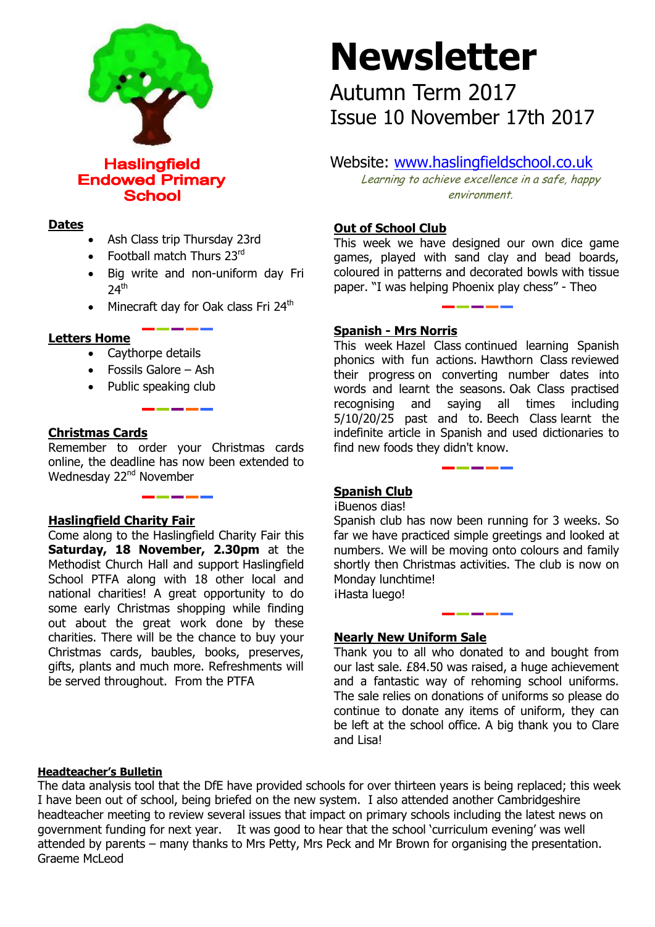

**Haslingfield Endowed Primary School** 

#### **Dates**

- Ash Class trip Thursday 23rd
- Football match Thurs 23rd
- Big write and non-uniform day Fri  $24<sup>th</sup>$
- Minecraft day for Oak class Fri 24<sup>th</sup>

### **Letters Home**

- Caythorpe details
- Fossils Galore Ash
- Public speaking club

### **Christmas Cards**

Remember to order your Christmas cards online, the deadline has now been extended to Wednesday 22<sup>nd</sup> November

### **Haslingfield Charity Fair**

Come along to the Haslingfield Charity Fair this **Saturday, 18 November, 2.30pm** at the Methodist Church Hall and support Haslingfield School PTFA along with 18 other local and national charities! A great opportunity to do some early Christmas shopping while finding out about the great work done by these charities. There will be the chance to buy your Christmas cards, baubles, books, preserves, gifts, plants and much more. Refreshments will be served throughout. From the PTFA

# **Newsletter**

Autumn Term 2017 Issue 10 November 17th 2017

## Website: [www.haslingfieldschool.co.uk](http://www.haslingfieldschool.co.uk/)

Learning to achieve excellence in a safe, happy environment.

### **Out of School Club**

This week we have designed our own dice game games, played with sand clay and bead boards, coloured in patterns and decorated bowls with tissue paper. "I was helping Phoenix play chess" - Theo

#### **Spanish - Mrs Norris**

This week Hazel Class continued learning Spanish phonics with fun actions. Hawthorn Class reviewed their progress on converting number dates into words and learnt the seasons. Oak Class practised recognising and saying all times including 5/10/20/25 past and to. Beech Class learnt the indefinite article in Spanish and used dictionaries to find new foods they didn't know.

### **Spanish Club**

¡Buenos dias!

 numbers. We will be moving onto colours and family shortly then Christmas activities. The club is now on Spanish club has now been running for 3 weeks. So far we have practiced simple greetings and looked at Monday lunchtime! ¡Hasta luego!

#### **Nearly New Uniform Sale**

Thank you to all who donated to and bought from our last sale. £84.50 was raised, a huge achievement and a fantastic way of rehoming school uniforms. The sale relies on donations of uniforms so please do continue to donate any items of uniform, they can be left at the school office. A big thank you to Clare and Lisa!

#### **Headteacher's Bulletin**

The data analysis tool that the DfE have provided schools for over thirteen years is being replaced; this week I have been out of school, being briefed on the new system. I also attended another Cambridgeshire headteacher meeting to review several issues that impact on primary schools including the latest news on government funding for next year. It was good to hear that the school 'curriculum evening' was well attended by parents – many thanks to Mrs Petty, Mrs Peck and Mr Brown for organising the presentation. Graeme McLeod